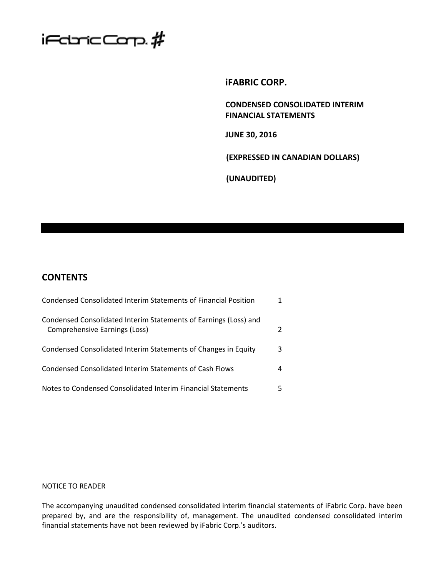

**iFABRIC CORP.**

**CONDENSED CONSOLIDATED INTERIM FINANCIAL STATEMENTS**

**JUNE 30, 2016**

**(EXPRESSED IN CANADIAN DOLLARS)**

**(UNAUDITED)**

# **CONTENTS**

| Condensed Consolidated Interim Statements of Financial Position                                   |   |
|---------------------------------------------------------------------------------------------------|---|
| Condensed Consolidated Interim Statements of Earnings (Loss) and<br>Comprehensive Earnings (Loss) |   |
| Condensed Consolidated Interim Statements of Changes in Equity                                    | 3 |
| Condensed Consolidated Interim Statements of Cash Flows                                           | 4 |
| Notes to Condensed Consolidated Interim Financial Statements                                      |   |

## NOTICE TO READER

The accompanying unaudited condensed consolidated interim financial statements of iFabric Corp. have been prepared by, and are the responsibility of, management. The unaudited condensed consolidated interim financial statements have not been reviewed by iFabric Corp.'s auditors.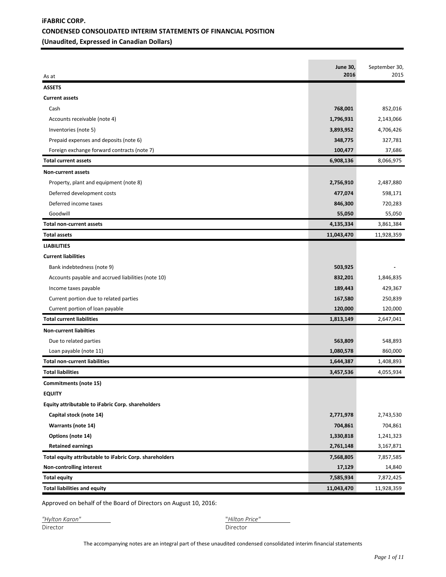# **iFABRIC CORP. CONDENSED CONSOLIDATED INTERIM STATEMENTS OF FINANCIAL POSITION (Unaudited, Expressed in Canadian Dollars)**

|                                                         | <b>June 30,</b> | September 30, |
|---------------------------------------------------------|-----------------|---------------|
| As at                                                   | 2016            | 2015          |
| <b>ASSETS</b>                                           |                 |               |
| <b>Current assets</b>                                   |                 |               |
| Cash                                                    | 768,001         | 852,016       |
| Accounts receivable (note 4)                            | 1,796,931       | 2,143,066     |
| Inventories (note 5)                                    | 3,893,952       | 4,706,426     |
| Prepaid expenses and deposits (note 6)                  | 348,775         | 327,781       |
| Foreign exchange forward contracts (note 7)             | 100,477         | 37,686        |
| <b>Total current assets</b>                             | 6,908,136       | 8,066,975     |
| Non-current assets                                      |                 |               |
| Property, plant and equipment (note 8)                  | 2,756,910       | 2,487,880     |
| Deferred development costs                              | 477,074         | 598,171       |
| Deferred income taxes                                   | 846,300         | 720,283       |
| Goodwill                                                | 55,050          | 55,050        |
| <b>Total non-current assets</b>                         | 4,135,334       | 3,861,384     |
| <b>Total assets</b>                                     | 11,043,470      | 11,928,359    |
| <b>LIABILITIES</b>                                      |                 |               |
| <b>Current liabilities</b>                              |                 |               |
| Bank indebtedness (note 9)                              | 503,925         |               |
| Accounts payable and accrued liabilities (note 10)      | 832,201         | 1,846,835     |
| Income taxes payable                                    | 189,443         | 429,367       |
| Current portion due to related parties                  | 167,580         | 250,839       |
| Current portion of loan payable                         | 120,000         | 120,000       |
| <b>Total current liabilities</b>                        | 1,813,149       | 2,647,041     |
| <b>Non-current liabilties</b>                           |                 |               |
| Due to related parties                                  | 563,809         | 548,893       |
| Loan payable (note 11)                                  | 1,080,578       | 860,000       |
| <b>Total non-current liabilities</b>                    | 1,644,387       | 1,408,893     |
| <b>Total liabilities</b>                                | 3,457,536       | 4,055,934     |
| Commitments (note 15)                                   |                 |               |
| <b>EQUITY</b>                                           |                 |               |
| Equity attributable to iFabric Corp. shareholders       |                 |               |
| Capital stock (note 14)                                 | 2,771,978       | 2,743,530     |
| Warrants (note 14)                                      | 704,861         | 704,861       |
| Options (note 14)                                       | 1,330,818       | 1,241,323     |
| <b>Retained earnings</b>                                | 2,761,148       | 3,167,871     |
| Total equity attributable to iFabric Corp. shareholders | 7,568,805       | 7,857,585     |
| Non-controlling interest                                | 17,129          | 14,840        |
| <b>Total equity</b>                                     | 7,585,934       | 7,872,425     |
| <b>Total liabilities and equity</b>                     | 11,043,470      | 11,928,359    |

Approved on behalf of the Board of Directors on August 10, 2016:

| "Hylton Karon" | "Hilton F |
|----------------|-----------|
| Director       | Director  |

*"Hylton Karon"* "*Hilton Price"* 

The accompanying notes are an integral part of these unaudited condensed consolidated interim financial statements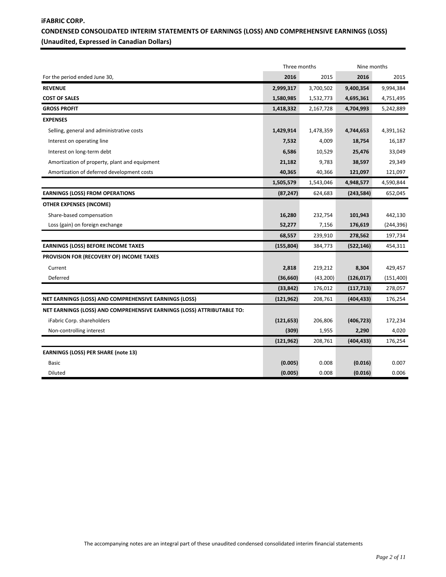# **iFABRIC CORP. CONDENSED CONSOLIDATED INTERIM STATEMENTS OF EARNINGS (LOSS) AND COMPREHENSIVE EARNINGS (LOSS) (Unaudited, Expressed in Canadian Dollars)**

|                                                                        |            | Three months |            | Nine months |  |  |
|------------------------------------------------------------------------|------------|--------------|------------|-------------|--|--|
| For the period ended June 30,                                          | 2016       |              |            | 2015        |  |  |
| <b>REVENUE</b>                                                         | 2,999,317  | 3,700,502    | 9,400,354  | 9,994,384   |  |  |
| <b>COST OF SALES</b>                                                   | 1,580,985  | 1,532,773    | 4,695,361  | 4,751,495   |  |  |
| <b>GROSS PROFIT</b>                                                    | 1,418,332  | 2,167,728    | 4,704,993  | 5,242,889   |  |  |
| <b>EXPENSES</b>                                                        |            |              |            |             |  |  |
| Selling, general and administrative costs                              | 1,429,914  | 1,478,359    | 4,744,653  | 4,391,162   |  |  |
| Interest on operating line                                             | 7,532      | 4,009        | 18,754     | 16,187      |  |  |
| Interest on long-term debt                                             | 6,586      | 10,529       | 25,476     | 33,049      |  |  |
| Amortization of property, plant and equipment                          | 21,182     | 9,783        | 38,597     | 29,349      |  |  |
| Amortization of deferred development costs                             | 40,365     | 40,366       | 121,097    | 121,097     |  |  |
|                                                                        | 1,505,579  | 1,543,046    | 4,948,577  | 4,590,844   |  |  |
| <b>EARNINGS (LOSS) FROM OPERATIONS</b>                                 | (87, 247)  | 624,683      | (243,584)  | 652,045     |  |  |
| <b>OTHER EXPENSES (INCOME)</b>                                         |            |              |            |             |  |  |
| Share-based compensation                                               | 16,280     | 232,754      | 101,943    | 442,130     |  |  |
| Loss (gain) on foreign exchange                                        | 52,277     | 7,156        | 176,619    | (244, 396)  |  |  |
|                                                                        | 68,557     | 239,910      | 278,562    | 197,734     |  |  |
| <b>EARNINGS (LOSS) BEFORE INCOME TAXES</b>                             | (155, 804) | 384,773      | (522, 146) | 454,311     |  |  |
| PROVISION FOR (RECOVERY OF) INCOME TAXES                               |            |              |            |             |  |  |
| Current                                                                | 2,818      | 219,212      | 8,304      | 429,457     |  |  |
| Deferred                                                               | (36, 660)  | (43,200)     | (126, 017) | (151, 400)  |  |  |
|                                                                        | (33, 842)  | 176,012      | (117, 713) | 278,057     |  |  |
| NET EARNINGS (LOSS) AND COMPREHENSIVE EARNINGS (LOSS)                  | (121, 962) | 208,761      | (404, 433) | 176,254     |  |  |
| NET EARNINGS (LOSS) AND COMPREHENSIVE EARNINGS (LOSS) ATTRIBUTABLE TO: |            |              |            |             |  |  |
| iFabric Corp. shareholders                                             | (121, 653) | 206,806      | (406, 723) | 172,234     |  |  |
| Non-controlling interest                                               | (309)      | 1,955        | 2,290      | 4,020       |  |  |
|                                                                        | (121, 962) | 208,761      | (404, 433) | 176,254     |  |  |
| <b>EARNINGS (LOSS) PER SHARE (note 13)</b>                             |            |              |            |             |  |  |
| <b>Basic</b>                                                           | (0.005)    | 0.008        | (0.016)    | 0.007       |  |  |
| Diluted                                                                | (0.005)    | 0.008        | (0.016)    | 0.006       |  |  |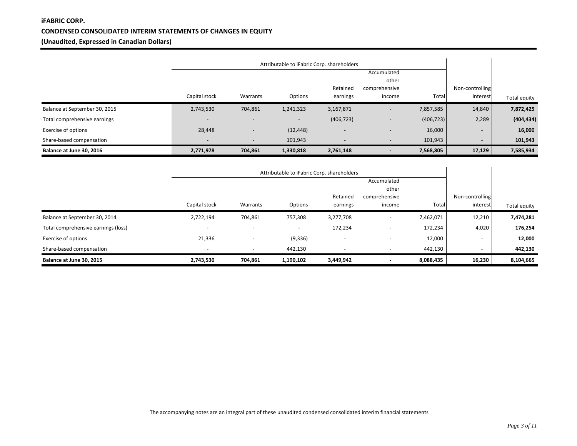# **iFABRIC CORP. CONDENSED CONSOLIDATED INTERIM STATEMENTS OF CHANGES IN EQUITY (Unaudited, Expressed in Canadian Dollars)**

|                               | Attributable to iFabric Corp. shareholders |                          |           |                          |                          |            |                          |              |
|-------------------------------|--------------------------------------------|--------------------------|-----------|--------------------------|--------------------------|------------|--------------------------|--------------|
|                               |                                            |                          |           |                          | Accumulated              |            |                          |              |
|                               |                                            |                          |           | Retained                 | other<br>comprehensive   |            | Non-controlling          |              |
|                               | Capital stock                              | Warrants                 | Options   | earnings                 | income                   | Total      | interest                 | Total equity |
| Balance at September 30, 2015 | 2,743,530                                  | 704,861                  | 1,241,323 | 3,167,871                | $\overline{\phantom{a}}$ | 7,857,585  | 14,840                   | 7,872,425    |
| Total comprehensive earnings  |                                            |                          |           | (406, 723)               | $\overline{\phantom{a}}$ | (406, 723) | 2,289                    | (404, 434)   |
| Exercise of options           | 28,448                                     | $\overline{\phantom{a}}$ | (12, 448) | $\overline{\phantom{a}}$ | $\overline{\phantom{0}}$ | 16,000     | $\overline{\phantom{0}}$ | 16,000       |
| Share-based compensation      |                                            | $\overline{\phantom{a}}$ | 101,943   | . .                      | $\overline{\phantom{0}}$ | 101,943    | $\overline{\phantom{0}}$ | 101,943      |
| Balance at June 30, 2016      | 2,771,978                                  | 704,861                  | 1,330,818 | 2,761,148                |                          | 7,568,805  | 17,129                   | 7,585,934    |

|                                     | Attributable to iFabric Corp. shareholders |                          |           |                          |                                  |           |                             |              |
|-------------------------------------|--------------------------------------------|--------------------------|-----------|--------------------------|----------------------------------|-----------|-----------------------------|--------------|
|                                     |                                            |                          |           |                          | Accumulated                      |           |                             |              |
|                                     | Capital stock                              | Warrants                 | Options   | Retained<br>earnings     | other<br>comprehensive<br>income | Total     | Non-controlling<br>interest | Total equity |
| Balance at September 30, 2014       | 2,722,194                                  | 704,861                  | 757,308   | 3,277,708                | $\overline{\phantom{a}}$         | 7,462,071 | 12,210                      | 7,474,281    |
| Total comprehensive earnings (loss) |                                            | $\overline{\phantom{a}}$ | -         | 172,234                  | $\overline{\phantom{0}}$         | 172,234   | 4,020                       | 176,254      |
| Exercise of options                 | 21,336                                     | $\overline{\phantom{a}}$ | (9, 336)  | $\overline{\phantom{a}}$ | $\overline{\phantom{a}}$         | 12,000    | ۰                           | 12,000       |
| Share-based compensation            | $\overline{\phantom{a}}$                   | $\overline{\phantom{a}}$ | 442,130   | $\overline{\phantom{a}}$ | $\overline{\phantom{a}}$         | 442,130   | $\overline{\phantom{a}}$    | 442,130      |
| Balance at June 30, 2015            | 2,743,530                                  | 704,861                  | 1,190,102 | 3,449,942                |                                  | 8,088,435 | 16,230                      | 8,104,665    |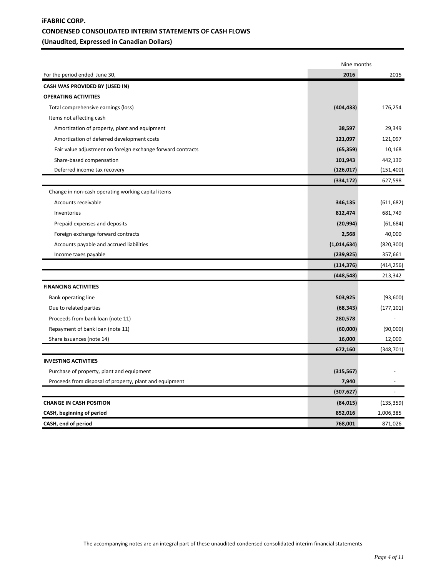# **iFABRIC CORP. CONDENSED CONSOLIDATED INTERIM STATEMENTS OF CASH FLOWS (Unaudited, Expressed in Canadian Dollars)**

|                                                             | Nine months |            |
|-------------------------------------------------------------|-------------|------------|
| For the period ended June 30,                               | 2016        | 2015       |
| <b>CASH WAS PROVIDED BY (USED IN)</b>                       |             |            |
| <b>OPERATING ACTIVITIES</b>                                 |             |            |
| Total comprehensive earnings (loss)                         | (404, 433)  | 176,254    |
| Items not affecting cash                                    |             |            |
| Amortization of property, plant and equipment               | 38,597      | 29,349     |
| Amortization of deferred development costs                  | 121,097     | 121,097    |
| Fair value adjustment on foreign exchange forward contracts | (65, 359)   | 10,168     |
| Share-based compensation                                    | 101,943     | 442,130    |
| Deferred income tax recovery                                | (126, 017)  | (151, 400) |
|                                                             | (334, 172)  | 627,598    |
| Change in non-cash operating working capital items          |             |            |
| Accounts receivable                                         | 346,135     | (611, 682) |
| Inventories                                                 | 812,474     | 681,749    |
| Prepaid expenses and deposits                               | (20, 994)   | (61, 684)  |
| Foreign exchange forward contracts                          | 2,568       | 40,000     |
| Accounts payable and accrued liabilities                    | (1,014,634) | (820, 300) |
| Income taxes payable                                        | (239, 925)  | 357,661    |
|                                                             | (114, 376)  | (414, 256) |
|                                                             | (448, 548)  | 213,342    |
| <b>FINANCING ACTIVITIES</b>                                 |             |            |
| Bank operating line                                         | 503,925     | (93,600)   |
| Due to related parties                                      | (68, 343)   | (177, 101) |
| Proceeds from bank loan (note 11)                           | 280,578     |            |
| Repayment of bank loan (note 11)                            | (60,000)    | (90,000)   |
| Share issuances (note 14)                                   | 16,000      | 12,000     |
|                                                             | 672,160     | (348, 701) |
| <b>INVESTING ACTIVITIES</b>                                 |             |            |
| Purchase of property, plant and equipment                   | (315, 567)  |            |
| Proceeds from disposal of property, plant and equipment     | 7,940       |            |
|                                                             | (307, 627)  |            |
| <b>CHANGE IN CASH POSITION</b>                              | (84, 015)   | (135, 359) |
| CASH, beginning of period                                   | 852,016     | 1,006,385  |
| CASH, end of period                                         | 768,001     | 871,026    |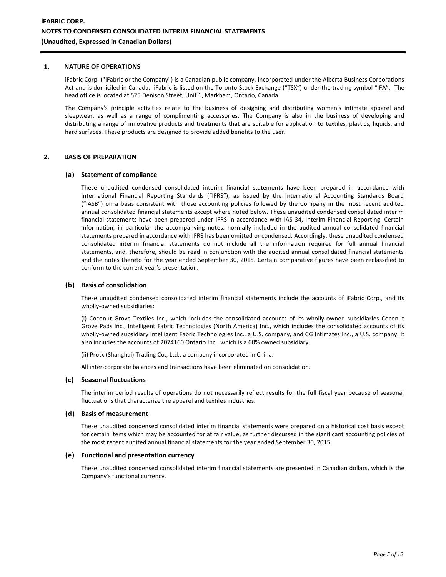#### **1. NATURE OF OPERATIONS**

iFabric Corp. ("iFabric or the Company") is a Canadian public company, incorporated under the Alberta Business Corporations Act and is domiciled in Canada. iFabric is listed on the Toronto Stock Exchange ("TSX") under the trading symbol "IFA". The head office is located at 525 Denison Street, Unit 1, Markham, Ontario, Canada.

The Company's principle activities relate to the business of designing and distributing women's intimate apparel and sleepwear, as well as a range of complimenting accessories. The Company is also in the business of developing and distributing a range of innovative products and treatments that are suitable for application to textiles, plastics, liquids, and hard surfaces. These products are designed to provide added benefits to the user.

### **2. BASIS OF PREPARATION**

#### **(a) Statement of compliance**

These unaudited condensed consolidated interim financial statements have been prepared in accordance with International Financial Reporting Standards ("IFRS"), as issued by the International Accounting Standards Board ("IASB") on a basis consistent with those accounting policies followed by the Company in the most recent audited annual consolidated financial statements except where noted below. These unaudited condensed consolidated interim financial statements have been prepared under IFRS in accordance with IAS 34, Interim Financial Reporting. Certain information, in particular the accompanying notes, normally included in the audited annual consolidated financial statements prepared in accordance with IFRS has been omitted or condensed. Accordingly, these unaudited condensed consolidated interim financial statements do not include all the information required for full annual financial statements, and, therefore, should be read in conjunction with the audited annual consolidated financial statements and the notes thereto for the year ended September 30, 2015. Certain comparative figures have been reclassified to conform to the current year's presentation.

#### **(b) Basis of consolidation**

These unaudited condensed consolidated interim financial statements include the accounts of iFabric Corp., and its wholly-owned subsidiaries:

(i) Coconut Grove Textiles Inc., which includes the consolidated accounts of its wholly-owned subsidiaries Coconut Grove Pads Inc., Intelligent Fabric Technologies (North America) Inc., which includes the consolidated accounts of its wholly-owned subsidiary Intelligent Fabric Technologies Inc., a U.S. company, and CG Intimates Inc., a U.S. company. It also includes the accounts of 2074160 Ontario Inc., which is a 60% owned subsidiary.

(ii) Protx (Shanghai) Trading Co., Ltd., a company incorporated in China.

All inter-corporate balances and transactions have been eliminated on consolidation.

#### **(c) Seasonal fluctuations**

The interim period results of operations do not necessarily reflect results for the full fiscal year because of seasonal fluctuations that characterize the apparel and textiles industries.

#### **(d) Basis of measurement**

These unaudited condensed consolidated interim financial statements were prepared on a historical cost basis except for certain items which may be accounted for at fair value, as further discussed in the significant accounting policies of the most recent audited annual financial statements for the year ended September 30, 2015.

### **(e) Functional and presentation currency**

These unaudited condensed consolidated interim financial statements are presented in Canadian dollars, which is the Company's functional currency.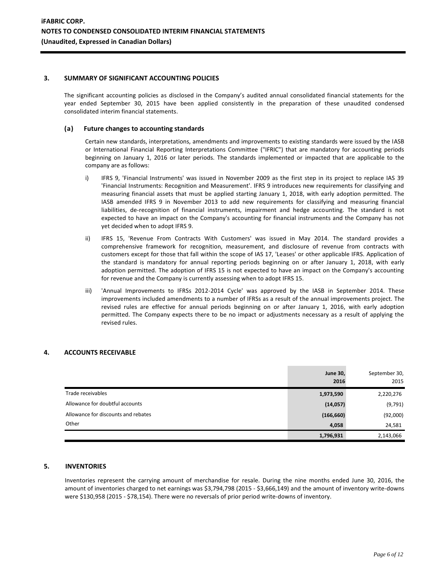#### **3. SUMMARY OF SIGNIFICANT ACCOUNTING POLICIES**

The significant accounting policies as disclosed in the Company's audited annual consolidated financial statements for the year ended September 30, 2015 have been applied consistently in the preparation of these unaudited condensed consolidated interim financial statements.

#### **(a) Future changes to accounting standards**

Certain new standards, interpretations, amendments and improvements to existing standards were issued by the IASB or International Financial Reporting Interpretations Committee ("IFRIC") that are mandatory for accounting periods beginning on January 1, 2016 or later periods. The standards implemented or impacted that are applicable to the company are as follows:

- i) IFRS 9, 'Financial Instruments' was issued in November 2009 as the first step in its project to replace IAS 39 'Financial Instruments: Recognition and Measurement'. IFRS 9 introduces new requirements for classifying and measuring financial assets that must be applied starting January 1, 2018, with early adoption permitted. The IASB amended IFRS 9 in November 2013 to add new requirements for classifying and measuring financial liabilities, de-recognition of financial instruments, impairment and hedge accounting. The standard is not expected to have an impact on the Company's accounting for financial instruments and the Company has not yet decided when to adopt IFRS 9.
- ii) IFRS 15, 'Revenue From Contracts With Customers' was issued in May 2014. The standard provides a comprehensive framework for recognition, measurement, and disclosure of revenue from contracts with customers except for those that fall within the scope of IAS 17, 'Leases' or other applicable IFRS. Application of the standard is mandatory for annual reporting periods beginning on or after January 1, 2018, with early adoption permitted. The adoption of IFRS 15 is not expected to have an impact on the Company's accounting for revenue and the Company is currently assessing when to adopt IFRS 15.
- iii) 'Annual Improvements to IFRSs 2012-2014 Cycle' was approved by the IASB in September 2014. These improvements included amendments to a number of IFRSs as a result of the annual improvements project. The revised rules are effective for annual periods beginning on or after January 1, 2016, with early adoption permitted. The Company expects there to be no impact or adjustments necessary as a result of applying the revised rules.

## **4. ACCOUNTS RECEIVABLE**

|                                     | <b>June 30,</b><br>2016 | September 30,<br>2015 |
|-------------------------------------|-------------------------|-----------------------|
| Trade receivables                   | 1,973,590               | 2,220,276             |
| Allowance for doubtful accounts     | (14, 057)               | (9,791)               |
| Allowance for discounts and rebates | (166, 660)              | (92,000)              |
| Other                               | 4,058                   | 24,581                |
|                                     | 1,796,931               | 2,143,066             |

## **5. INVENTORIES**

Inventories represent the carrying amount of merchandise for resale. During the nine months ended June 30, 2016, the amount of inventories charged to net earnings was \$3,794,798 (2015 - \$3,666,149) and the amount of inventory write-downs were \$130,958 (2015 - \$78,154). There were no reversals of prior period write-downs of inventory.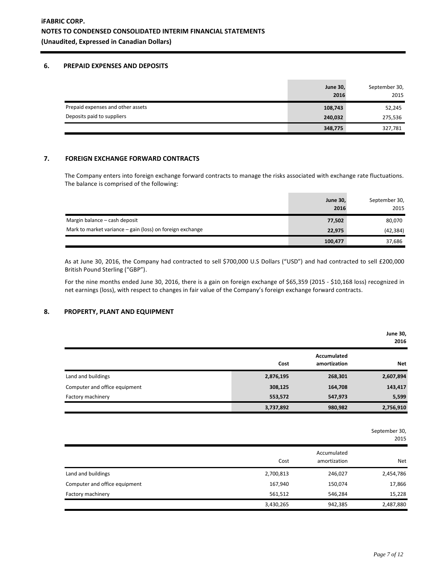#### **6. PREPAID EXPENSES AND DEPOSITS**

|                                   | <b>June 30,</b><br>2016 | September 30,<br>2015 |
|-----------------------------------|-------------------------|-----------------------|
| Prepaid expenses and other assets | 108,743                 | 52,245                |
| Deposits paid to suppliers        | 240,032                 | 275,536               |
|                                   | 348,775                 | 327,781               |

### **7. FOREIGN EXCHANGE FORWARD CONTRACTS**

The Company enters into foreign exchange forward contracts to manage the risks associated with exchange rate fluctuations. The balance is comprised of the following:

|                                                           | <b>June 30,</b><br>2016 | September 30,<br>2015 |
|-----------------------------------------------------------|-------------------------|-----------------------|
| Margin balance - cash deposit                             | 77,502                  | 80,070                |
| Mark to market variance – gain (loss) on foreign exchange | 22,975                  | (42, 384)             |
|                                                           | 100,477                 | 37,686                |

As at June 30, 2016, the Company had contracted to sell \$700,000 U.S Dollars ("USD") and had contracted to sell £200,000 British Pound Sterling ("GBP").

For the nine months ended June 30, 2016, there is a gain on foreign exchange of \$65,359 (2015 - \$10,168 loss) recognized in net earnings (loss), with respect to changes in fair value of the Company's foreign exchange forward contracts.

## **8. PROPERTY, PLANT AND EQUIPMENT**

|                               |           |                             | <b>June 30,</b><br>2016 |
|-------------------------------|-----------|-----------------------------|-------------------------|
|                               | Cost      | Accumulated<br>amortization | <b>Net</b>              |
| Land and buildings            | 2,876,195 | 268,301                     | 2,607,894               |
| Computer and office equipment | 308,125   | 164,708                     | 143,417                 |
| Factory machinery             | 553,572   | 547,973                     | 5,599                   |
|                               | 3,737,892 | 980,982                     | 2,756,910               |

September 30,

|                               |           |                             | 2015       |
|-------------------------------|-----------|-----------------------------|------------|
|                               | Cost      | Accumulated<br>amortization | <b>Net</b> |
| Land and buildings            | 2,700,813 | 246,027                     | 2,454,786  |
| Computer and office equipment | 167,940   | 150,074                     | 17,866     |
| Factory machinery             | 561,512   | 546,284                     | 15,228     |
|                               | 3,430,265 | 942,385                     | 2,487,880  |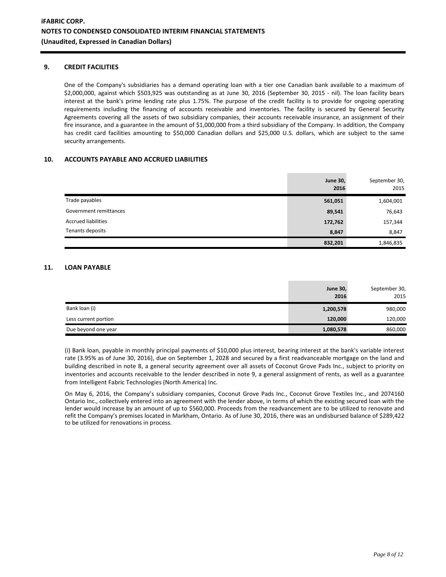## **9. CREDIT FACILITIES**

One of the Company's subsidiaries has a demand operating loan with a tier one Canadian bank available to a maximum of \$2,000,000, against which \$503,925 was outstanding as at June 30, 2016 (September 30, 2015 - nil). The loan facility bears interest at the bank's prime lending rate plus 1.75%. The purpose of the credit facility is to provide for ongoing operating requirements including the financing of accounts receivable and inventories. The facility is secured by General Security Agreements covering all the assets of two subsidiary companies, their accounts receivable insurance, an assignment of their fire insurance, and a guarantee in the amount of \$1,000,000 from a third subsidiary of the Company. In addition, the Company has credit card facilities amounting to \$50,000 Canadian dollars and \$25,000 U.S. dollars, which are subject to the same security arrangements.

## **10. ACCOUNTS PAYABLE AND ACCRUED LIABILITIES**

|                            | <b>June 30,</b><br>2016 | September 30,<br>2015 |
|----------------------------|-------------------------|-----------------------|
| Trade payables             | 561,051                 | 1,604,001             |
| Government remittances     | 89,541                  | 76,643                |
| <b>Accrued liabilities</b> | 172,762                 | 157,344               |
| Tenants deposits           | 8,847                   | 8,847                 |
|                            | 832,201                 | 1,846,835             |

## **11. LOAN PAYABLE**

|                      | <b>June 30,</b> | September 30, |
|----------------------|-----------------|---------------|
|                      | 2016            | 2015          |
| Bank loan (i)        | 1,200,578       | 980,000       |
| Less current portion | 120,000         | 120,000       |
| Due beyond one year  | 1,080,578       | 860,000       |

(i) Bank loan, payable in monthly principal payments of \$10,000 plus interest, bearing interest at the bank's variable interest rate (3.95% as of June 30, 2016), due on September 1, 2028 and secured by a first readvanceable mortgage on the land and building described in note 8, a general security agreement over all assets of Coconut Grove Pads Inc., subject to priority on inventories and accounts receivable to the lender described in note 9, a general assignment of rents, as well as a guarantee from Intelligent Fabric Technologies (North America) Inc.

On May 6, 2016, the Company's subsidiary companies, Coconut Grove Pads Inc., Coconut Grove Textiles Inc., and 2074160 Ontario Inc., collectively entered into an agreement with the lender above, in terms of which the existing secured loan with the lender would increase by an amount of up to \$560,000. Proceeds from the readvancement are to be utilized to renovate and refit the Company's premises located in Markham, Ontario. As of June 30, 2016, there was an undisbursed balance of \$289,422 to be utilized for renovations in process.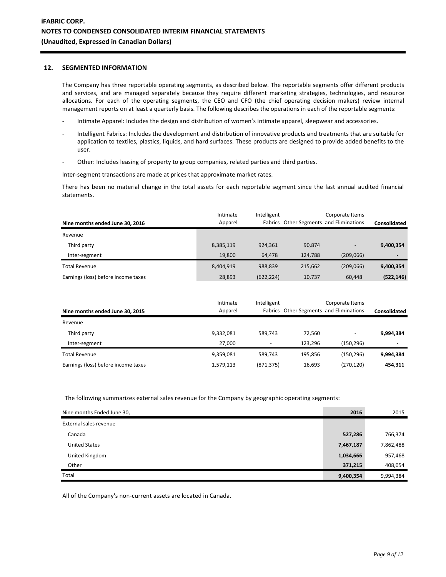## **12. SEGMENTED INFORMATION**

The Company has three reportable operating segments, as described below. The reportable segments offer different products and services, and are managed separately because they require different marketing strategies, technologies, and resource allocations. For each of the operating segments, the CEO and CFO (the chief operating decision makers) review internal management reports on at least a quarterly basis. The following describes the operations in each of the reportable segments:

- Intimate Apparel: Includes the design and distribution of women's intimate apparel, sleepwear and accessories.
- Intelligent Fabrics: Includes the development and distribution of innovative products and treatments that are suitable for application to textiles, plastics, liquids, and hard surfaces. These products are designed to provide added benefits to the user.
- Other: Includes leasing of property to group companies, related parties and third parties.

Inter-segment transactions are made at prices that approximate market rates.

There has been no material change in the total assets for each reportable segment since the last annual audited financial statements.

| Nine months ended June 30, 2016     | Intimate<br>Apparel | Intelligent |         | Corporate Items<br>Fabrics Other Segments and Eliminations | Consolidated             |
|-------------------------------------|---------------------|-------------|---------|------------------------------------------------------------|--------------------------|
| Revenue                             |                     |             |         |                                                            |                          |
| Third party                         | 8,385,119           | 924.361     | 90,874  | $\qquad \qquad -$                                          | 9,400,354                |
| Inter-segment                       | 19.800              | 64.478      | 124.788 | (209,066)                                                  | $\overline{\phantom{0}}$ |
| <b>Total Revenue</b>                | 8.404.919           | 988.839     | 215.662 | (209,066)                                                  | 9,400,354                |
| Earnings (loss) before income taxes | 28,893              | (622, 224)  | 10,737  | 60,448                                                     | (522, 146)               |

|                                     | Intimate  | Intelligent              |         | Corporate Items                         |                          |
|-------------------------------------|-----------|--------------------------|---------|-----------------------------------------|--------------------------|
| Nine months ended June 30, 2015     | Apparel   |                          |         | Fabrics Other Segments and Eliminations | Consolidated             |
| Revenue                             |           |                          |         |                                         |                          |
| Third party                         | 9,332,081 | 589.743                  | 72.560  | $\overline{\phantom{0}}$                | 9,994,384                |
| Inter-segment                       | 27.000    | $\overline{\phantom{a}}$ | 123.296 | (150.296)                               | $\overline{\phantom{0}}$ |
| Total Revenue                       | 9,359,081 | 589.743                  | 195.856 | (150.296)                               | 9,994,384                |
| Earnings (loss) before income taxes | 1,579,113 | (871, 375)               | 16,693  | (270, 120)                              | 454.311                  |

The following summarizes external sales revenue for the Company by geographic operating segments:

| Nine months Ended June 30, | 2016      | 2015      |
|----------------------------|-----------|-----------|
| External sales revenue     |           |           |
| Canada                     | 527,286   | 766,374   |
| <b>United States</b>       | 7,467,187 | 7,862,488 |
| United Kingdom             | 1,034,666 | 957,468   |
| Other                      | 371,215   | 408,054   |
| Total                      | 9,400,354 | 9,994,384 |

All of the Company's non-current assets are located in Canada.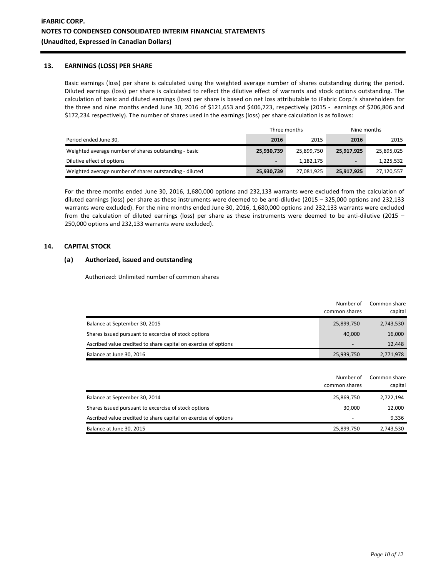## **13. EARNINGS (LOSS) PER SHARE**

Basic earnings (loss) per share is calculated using the weighted average number of shares outstanding during the period. Diluted earnings (loss) per share is calculated to reflect the dilutive effect of warrants and stock options outstanding. The calculation of basic and diluted earnings (loss) per share is based on net loss attributable to iFabric Corp.'s shareholders for the three and nine months ended June 30, 2016 of \$121,653 and \$406,723, respectively (2015 - earnings of \$206,806 and \$172,234 respectively). The number of shares used in the earnings (loss) per share calculation is as follows:

|                                                         |                | Three months | Nine months              |            |
|---------------------------------------------------------|----------------|--------------|--------------------------|------------|
| Period ended June 30,                                   | 2016           | 2015         | 2016                     | 2015       |
| Weighted average number of shares outstanding - basic   | 25,930,739     | 25,899,750   | 25,917,925               | 25,895,025 |
| Dilutive effect of options                              | $\blacksquare$ | 1,182,175    | $\overline{\phantom{a}}$ | 1,225,532  |
| Weighted average number of shares outstanding - diluted | 25,930,739     | 27,081,925   | 25,917,925               | 27,120,557 |

For the three months ended June 30, 2016, 1,680,000 options and 232,133 warrants were excluded from the calculation of diluted earnings (loss) per share as these instruments were deemed to be anti-dilutive (2015 – 325,000 options and 232,133 warrants were excluded). For the nine months ended June 30, 2016, 1,680,000 options and 232,133 warrants were excluded from the calculation of diluted earnings (loss) per share as these instruments were deemed to be anti-dilutive (2015 – 250,000 options and 232,133 warrants were excluded).

## **14. CAPITAL STOCK**

## **(a) Authorized, issued and outstanding**

Authorized: Unlimited number of common shares

|                                                                 | Number of<br>common shares | Common share<br>capital |
|-----------------------------------------------------------------|----------------------------|-------------------------|
| Balance at September 30, 2015                                   | 25,899,750                 | 2,743,530               |
| Shares issued pursuant to excercise of stock options            | 40.000                     | 16,000                  |
| Ascribed value credited to share capital on exercise of options | $\overline{\phantom{0}}$   | 12,448                  |
| Balance at June 30, 2016                                        | 25,939,750                 | 2,771,978               |

|                                                                 | Number of<br>common shares | Common share<br>capital |
|-----------------------------------------------------------------|----------------------------|-------------------------|
| Balance at September 30, 2014                                   | 25,869,750                 | 2,722,194               |
| Shares issued pursuant to excercise of stock options            | 30,000                     | 12,000                  |
| Ascribed value credited to share capital on exercise of options |                            | 9,336                   |
| Balance at June 30, 2015                                        | 25,899,750                 | 2,743,530               |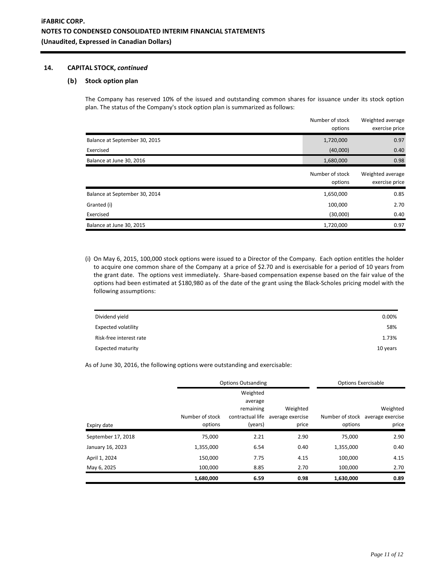## **14. CAPITAL STOCK,** *continued*

### **(b) Stock option plan**

The Company has reserved 10% of the issued and outstanding common shares for issuance under its stock option plan. The status of the Company's stock option plan is summarized as follows:

|                               | Number of stock<br>options | Weighted average<br>exercise price |
|-------------------------------|----------------------------|------------------------------------|
| Balance at September 30, 2015 | 1,720,000                  | 0.97                               |
| Exercised                     | (40,000)                   | 0.40                               |
| Balance at June 30, 2016      | 1,680,000                  | 0.98                               |
|                               | Number of stock<br>options | Weighted average<br>exercise price |
| Balance at September 30, 2014 | 1,650,000                  | 0.85                               |
| Granted (i)                   | 100,000                    | 2.70                               |
| Exercised                     | (30,000)                   | 0.40                               |
| Balance at June 30, 2015      | 1,720,000                  | 0.97                               |

(i) On May 6, 2015, 100,000 stock options were issued to a Director of the Company. Each option entitles the holder to acquire one common share of the Company at a price of \$2.70 and is exercisable for a period of 10 years from the grant date. The options vest immediately. Share-based compensation expense based on the fair value of the options had been estimated at \$180,980 as of the date of the grant using the Black-Scholes pricing model with the following assumptions:

| Dividend yield             | 0.00%    |
|----------------------------|----------|
| <b>Expected volatility</b> | 58%      |
| Risk-free interest rate    | 1.73%    |
| <b>Expected maturity</b>   | 10 years |

As of June 30, 2016, the following options were outstanding and exercisable:

|                    | <b>Options Outsanding</b> |                                                      |                              | <b>Options Exercisable</b> |                                              |
|--------------------|---------------------------|------------------------------------------------------|------------------------------|----------------------------|----------------------------------------------|
|                    | Number of stock           | Weighted<br>average<br>remaining<br>contractual life | Weighted<br>average exercise |                            | Weighted<br>Number of stock average exercise |
| Expiry date        | options                   | (years)                                              | price                        | options                    | price                                        |
| September 17, 2018 | 75.000                    | 2.21                                                 | 2.90                         | 75.000                     | 2.90                                         |
| January 16, 2023   | 1,355,000                 | 6.54                                                 | 0.40                         | 1,355,000                  | 0.40                                         |
| April 1, 2024      | 150,000                   | 7.75                                                 | 4.15                         | 100,000                    | 4.15                                         |
| May 6, 2025        | 100,000                   | 8.85                                                 | 2.70                         | 100,000                    | 2.70                                         |
|                    | 1,680,000                 | 6.59                                                 | 0.98                         | 1,630,000                  | 0.89                                         |